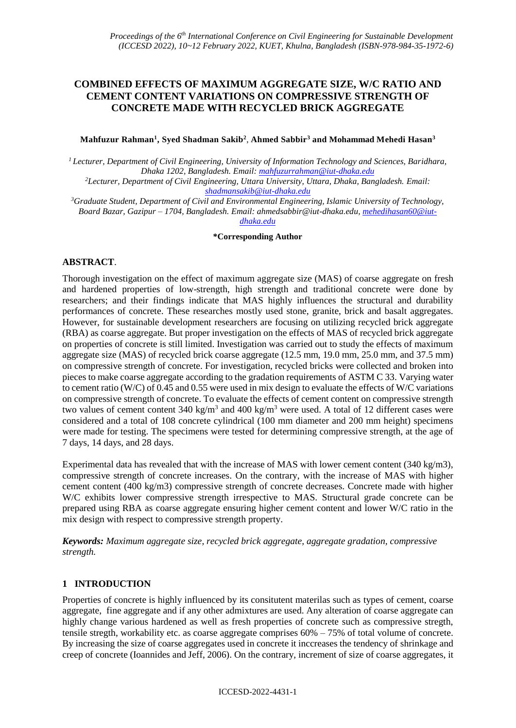# **COMBINED EFFECTS OF MAXIMUM AGGREGATE SIZE, W/C RATIO AND CEMENT CONTENT VARIATIONS ON COMPRESSIVE STRENGTH OF CONCRETE MADE WITH RECYCLED BRICK AGGREGATE**

#### **Mahfuzur Rahman<sup>1</sup> , Syed Shadman Sakib<sup>2</sup>** , **Ahmed Sabbir<sup>3</sup> and Mohammad Mehedi Hasan<sup>3</sup>**

*<sup>1</sup>Lecturer, Department of Civil Engineering, University of Information Technology and Sciences, Baridhara, Dhaka 1202, Bangladesh. Email: [mahfuzurrahman@iut-dhaka.edu](mailto:mahfuzurrahman@iut-dhaka.edu)*

*<sup>2</sup>Lecturer, Department of Civil Engineering, Uttara University, Uttara, Dhaka, Bangladesh. Email: [shadmansakib@iut-dhaka.edu](mailto:shadmansakib@iut-dhaka.edu)*

*<sup>3</sup>Graduate Student, Department of Civil and Environmental Engineering, Islamic University of Technology, Board Bazar, Gazipur – 1704, Bangladesh. Email: ahmedsabbir@iut-dhaka.edu[, mehedihasan60@iut](mailto:mehedihasan60@iut-dhaka.edu)[dhaka.edu](mailto:mehedihasan60@iut-dhaka.edu)*

**\*Corresponding Author**

## **ABSTRACT**.

Thorough investigation on the effect of maximum aggregate size (MAS) of coarse aggregate on fresh and hardened properties of low-strength, high strength and traditional concrete were done by researchers; and their findings indicate that MAS highly influences the structural and durability performances of concrete. These researches mostly used stone, granite, brick and basalt aggregates. However, for sustainable development researchers are focusing on utilizing recycled brick aggregate (RBA) as coarse aggregate. But proper investigation on the effects of MAS of recycled brick aggregate on properties of concrete is still limited. Investigation was carried out to study the effects of maximum aggregate size (MAS) of recycled brick coarse aggregate (12.5 mm, 19.0 mm, 25.0 mm, and 37.5 mm) on compressive strength of concrete. For investigation, recycled bricks were collected and broken into pieces to make coarse aggregate according to the gradation requirements of ASTM C 33. Varying water to cement ratio (W/C) of 0.45 and 0.55 were used in mix design to evaluate the effects of W/C variations on compressive strength of concrete. To evaluate the effects of cement content on compressive strength two values of cement content 340 kg/m<sup>3</sup> and 400 kg/m<sup>3</sup> were used. A total of 12 different cases were considered and a total of 108 concrete cylindrical (100 mm diameter and 200 mm height) specimens were made for testing. The specimens were tested for determining compressive strength, at the age of 7 days, 14 days, and 28 days.

Experimental data has revealed that with the increase of MAS with lower cement content (340 kg/m3), compressive strength of concrete increases. On the contrary, with the increase of MAS with higher cement content (400 kg/m3) compressive strength of concrete decreases. Concrete made with higher W/C exhibits lower compressive strength irrespective to MAS. Structural grade concrete can be prepared using RBA as coarse aggregate ensuring higher cement content and lower W/C ratio in the mix design with respect to compressive strength property.

*Keywords: Maximum aggregate size, recycled brick aggregate, aggregate gradation, compressive strength.*

## **1 INTRODUCTION**

Properties of concrete is highly influenced by its consitutent materilas such as types of cement, coarse aggregate, fine aggregate and if any other admixtures are used. Any alteration of coarse aggregate can highly change various hardened as well as fresh properties of concrete such as compressive stregth, tensile stregth, workability etc. as coarse aggregate comprises  $60\% - 75\%$  of total volume of concrete. By increasing the size of coarse aggregates used in concrete it inccreases the tendency of shrinkage and creep of concrete (Ioannides and Jeff, 2006). On the contrary, increment of size of coarse aggregates, it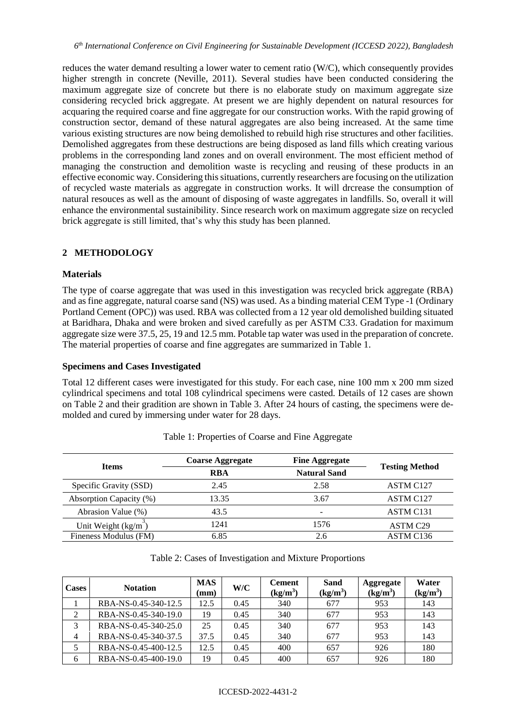reduces the water demand resulting a lower water to cement ratio (W/C), which consequently provides higher strength in concrete (Neville, 2011). Several studies have been conducted considering the maximum aggregate size of concrete but there is no elaborate study on maximum aggregate size considering recycled brick aggregate. At present we are highly dependent on natural resources for acquaring the required coarse and fine aggregate for our construction works. With the rapid growing of construction sector, demand of these natural aggregates are also being increased. At the same time various existing structures are now being demolished to rebuild high rise structures and other facilities. Demolished aggregates from these destructions are being disposed as land fills which creating various problems in the corresponding land zones and on overall environment. The most efficient method of managing the construction and demolition waste is recycling and reusing of these products in an effective economic way. Considering this situations, currently researchers are focusing on the utilization of recycled waste materials as aggregate in construction works. It will drcrease the consumption of natural resouces as well as the amount of disposing of waste aggregates in landfills. So, overall it will enhance the environmental sustainibility. Since research work on maximum aggregate size on recycled brick aggregate is still limited, that's why this study has been planned.

## **2 METHODOLOGY**

## **Materials**

The type of coarse aggregate that was used in this investigation was recycled brick aggregate (RBA) and as fine aggregate, natural coarse sand (NS) was used. As a binding material CEM Type -1 (Ordinary Portland Cement (OPC)) was used. RBA was collected from a 12 year old demolished building situated at Baridhara, Dhaka and were broken and sived carefully as per ASTM C33. Gradation for maximum aggregate size were 37.5, 25, 19 and 12.5 mm. Potable tap water was used in the preparation of concrete. The material properties of coarse and fine aggregates are summarized in Table 1.

#### **Specimens and Cases Investigated**

Total 12 different cases were investigated for this study. For each case, nine 100 mm x 200 mm sized cylindrical specimens and total 108 cylindrical specimens were casted. Details of 12 cases are shown on Table 2 and their gradition are shown in Table 3. After 24 hours of casting, the specimens were demolded and cured by immersing under water for 28 days.

| <b>Items</b>            | <b>Coarse Aggregate</b> | <b>Fine Aggregate</b> | <b>Testing Method</b> |  |
|-------------------------|-------------------------|-----------------------|-----------------------|--|
|                         | <b>RBA</b>              | <b>Natural Sand</b>   |                       |  |
| Specific Gravity (SSD)  | 2.45                    | 2.58                  | ASTM C127             |  |
| Absorption Capacity (%) | 13.35                   | 3.67                  | ASTM C127             |  |
| Abrasion Value (%)      | 43.5                    | -                     | ASTM C131             |  |
| Unit Weight (kg/m       | 1241                    | 1576                  | ASTM C29              |  |
| Fineness Modulus (FM)   | 6.85                    | 2.6                   | ASTM C136             |  |

Table 1: Properties of Coarse and Fine Aggregate

Table 2: Cases of Investigation and Mixture Proportions

| <b>Cases</b>   | <b>Notation</b>      | <b>MAS</b><br>$(\mathbf{mm})$ | W/C  | <b>Cement</b><br>$(kg/m^3)$ | Sand<br>$(kg/m^3)$ | Aggregate<br>(kg/m <sup>3</sup> ) | Water<br>(kg/m <sup>3</sup> ) |
|----------------|----------------------|-------------------------------|------|-----------------------------|--------------------|-----------------------------------|-------------------------------|
|                | RBA-NS-0.45-340-12.5 | 12.5                          | 0.45 | 340                         | 677                | 953                               | 143                           |
| 2              | RBA-NS-0.45-340-19.0 | 19                            | 0.45 | 340                         | 677                | 953                               | 143                           |
| 3              | RBA-NS-0.45-340-25.0 | 25                            | 0.45 | 340                         | 677                | 953                               | 143                           |
| $\overline{4}$ | RBA-NS-0.45-340-37.5 | 37.5                          | 0.45 | 340                         | 677                | 953                               | 143                           |
| 5              | RBA-NS-0.45-400-12.5 | 12.5                          | 0.45 | 400                         | 657                | 926                               | 180                           |
| 6              | RBA-NS-0.45-400-19.0 | 19                            | 0.45 | 400                         | 657                | 926                               | 180                           |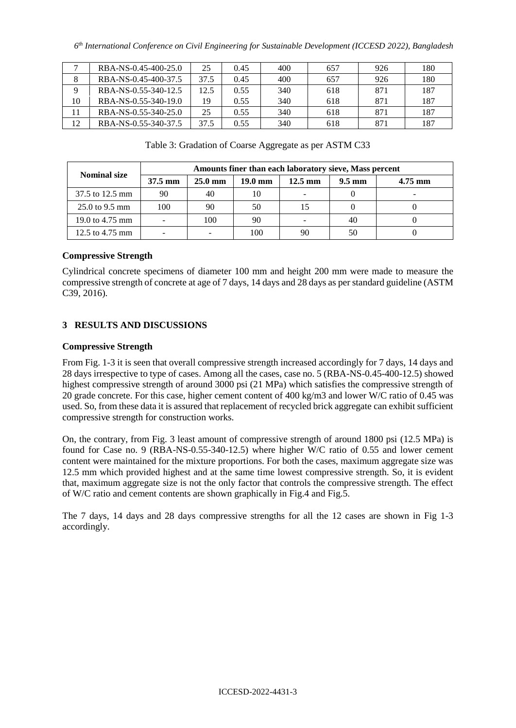|    | RBA-NS-0.45-400-25.0 | 25   | 0.45 | 400 | 657 | 926 | 180 |
|----|----------------------|------|------|-----|-----|-----|-----|
|    | RBA-NS-0.45-400-37.5 | 37.5 | 0.45 | 400 | 657 | 926 | 180 |
|    | RBA-NS-0.55-340-12.5 | 12.5 | 0.55 | 340 | 618 | 871 | 187 |
| 10 | RBA-NS-0.55-340-19.0 | 19   | 0.55 | 340 | 618 | 871 | 187 |
|    | RBA-NS-0.55-340-25.0 | 25   | 0.55 | 340 | 618 | 871 | 187 |
| 12 | RBA-NS-0.55-340-37.5 | 37.5 | 0.55 | 340 | 618 | 871 | 187 |

|  | Table 3: Gradation of Coarse Aggregate as per ASTM C33 |
|--|--------------------------------------------------------|
|--|--------------------------------------------------------|

| <b>Nominal size</b>               | Amounts finer than each laboratory sieve, Mass percent |                   |                   |                   |                  |           |  |
|-----------------------------------|--------------------------------------------------------|-------------------|-------------------|-------------------|------------------|-----------|--|
|                                   | $37.5 \text{ mm}$                                      | $25.0 \text{ mm}$ | $19.0 \text{ mm}$ | $12.5 \text{ mm}$ | $9.5 \text{ mm}$ | $4.75$ mm |  |
| 37.5 to 12.5 mm                   | 90                                                     | 40                | 10                |                   |                  |           |  |
| $25.0 \text{ to } 9.5 \text{ mm}$ | 100                                                    | 90                | 50                |                   |                  |           |  |
| 19.0 to $4.75 \text{ mm}$         |                                                        | 100               | 90                |                   | 40               |           |  |
| 12.5 to $4.75$ mm                 |                                                        |                   | 100               | 90                |                  |           |  |

## **Compressive Strength**

Cylindrical concrete specimens of diameter 100 mm and height 200 mm were made to measure the compressive strength of concrete at age of 7 days, 14 days and 28 days as per standard guideline (ASTM C39, 2016).

## **3 RESULTS AND DISCUSSIONS**

#### **Compressive Strength**

From Fig. 1-3 it is seen that overall compressive strength increased accordingly for 7 days, 14 days and 28 days irrespective to type of cases. Among all the cases, case no. 5 (RBA-NS-0.45-400-12.5) showed highest compressive strength of around 3000 psi (21 MPa) which satisfies the compressive strength of 20 grade concrete. For this case, higher cement content of 400 kg/m3 and lower W/C ratio of 0.45 was used. So, from these data it is assured that replacement of recycled brick aggregate can exhibit sufficient compressive strength for construction works.

On, the contrary, from Fig. 3 least amount of compressive strength of around 1800 psi (12.5 MPa) is found for Case no. 9 (RBA-NS-0.55-340-12.5) where higher W/C ratio of 0.55 and lower cement content were maintained for the mixture proportions. For both the cases, maximum aggregate size was 12.5 mm which provided highest and at the same time lowest compressive strength. So, it is evident that, maximum aggregate size is not the only factor that controls the compressive strength. The effect of W/C ratio and cement contents are shown graphically in Fig.4 and Fig.5.

The 7 days, 14 days and 28 days compressive strengths for all the 12 cases are shown in Fig 1-3 accordingly.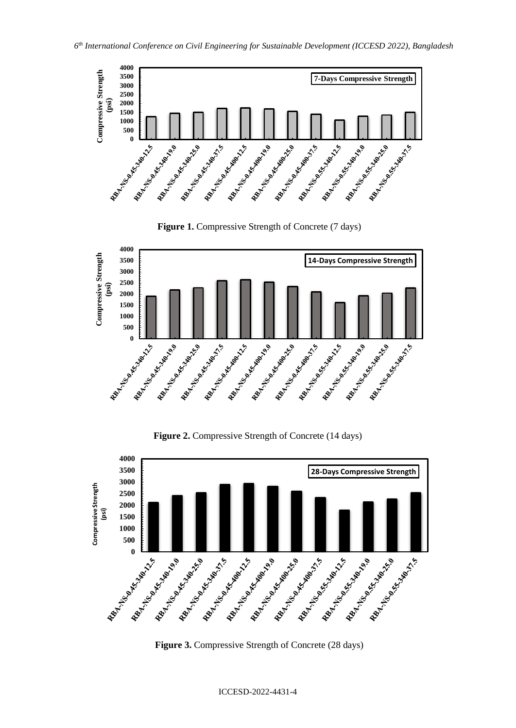



**Figure 2.** Compressive Strength of Concrete (14 days)



**Figure 3.** Compressive Strength of Concrete (28 days)

ICCESD-2022-4431-4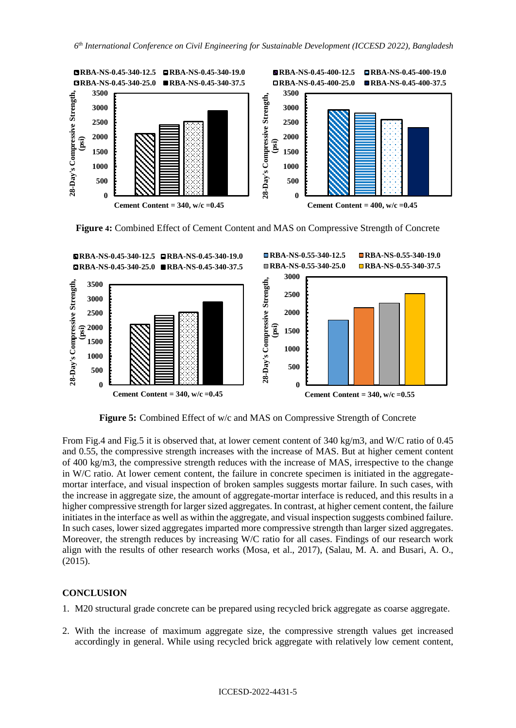

**Figure 4:** Combined Effect of Cement Content and MAS on Compressive Strength of Concrete



**Figure 5:** Combined Effect of w/c and MAS on Compressive Strength of Concrete

From Fig.4 and Fig.5 it is observed that, at lower cement content of 340 kg/m3, and W/C ratio of 0.45 and 0.55, the compressive strength increases with the increase of MAS. But at higher cement content of 400 kg/m3, the compressive strength reduces with the increase of MAS, irrespective to the change in W/C ratio. At lower cement content, the failure in concrete specimen is initiated in the aggregatemortar interface, and visual inspection of broken samples suggests mortar failure. In such cases, with the increase in aggregate size, the amount of aggregate-mortar interface is reduced, and this results in a higher compressive strength for larger sized aggregates. In contrast, at higher cement content, the failure initiates in the interface as well as within the aggregate, and visual inspection suggests combined failure. In such cases, lower sized aggregates imparted more compressive strength than larger sized aggregates. Moreover, the strength reduces by increasing W/C ratio for all cases. Findings of our research work align with the results of other research works (Mosa, et al., 2017), (Salau, M. A. and Busari, A. O., (2015).

## **CONCLUSION**

- 1. M20 structural grade concrete can be prepared using recycled brick aggregate as coarse aggregate.
- 2. With the increase of maximum aggregate size, the compressive strength values get increased accordingly in general. While using recycled brick aggregate with relatively low cement content,